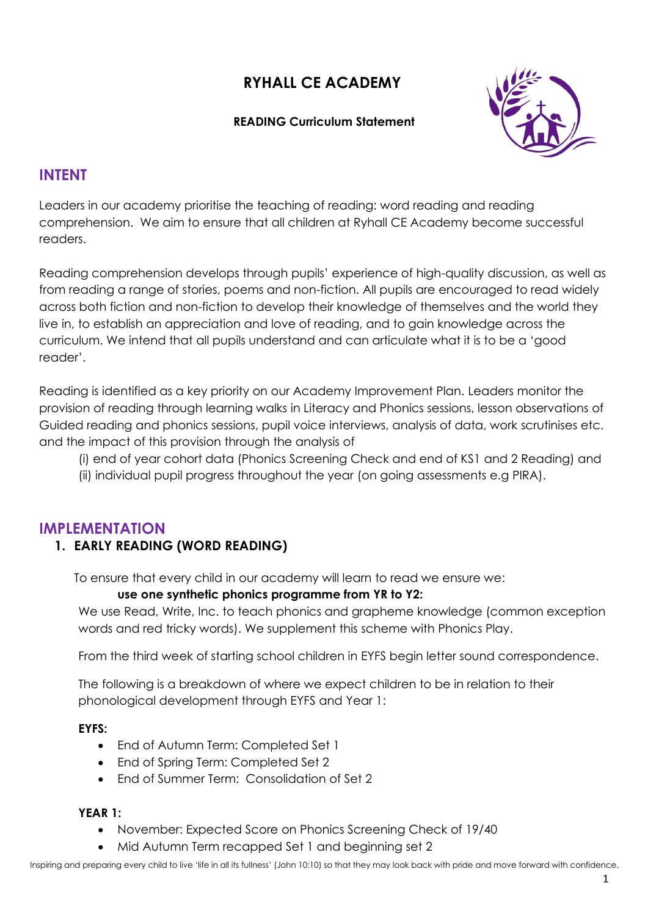# **RYHALL CE ACADEMY**

### **READING Curriculum Statement**



## **INTENT**

Leaders in our academy prioritise the teaching of reading: word reading and reading comprehension. We aim to ensure that all children at Ryhall CE Academy become successful readers.

Reading comprehension develops through pupils' experience of high-quality discussion, as well as from reading a range of stories, poems and non-fiction. All pupils are encouraged to read widely across both fiction and non-fiction to develop their knowledge of themselves and the world they live in, to establish an appreciation and love of reading, and to gain knowledge across the curriculum. We intend that all pupils understand and can articulate what it is to be a 'good reader'.

Reading is identified as a key priority on our Academy Improvement Plan. Leaders monitor the provision of reading through learning walks in Literacy and Phonics sessions, lesson observations of Guided reading and phonics sessions, pupil voice interviews, analysis of data, work scrutinises etc. and the impact of this provision through the analysis of

(i) end of year cohort data (Phonics Screening Check and end of KS1 and 2 Reading) and

(ii) individual pupil progress throughout the year (on going assessments e.g PIRA).

### **IMPLEMENTATION**

### **1. EARLY READING (WORD READING)**

To ensure that every child in our academy will learn to read we ensure we:

#### **use one synthetic phonics programme from YR to Y2:**

We use Read, Write, Inc. to teach phonics and grapheme knowledge (common exception words and red tricky words). We supplement this scheme with Phonics Play.

From the third week of starting school children in EYFS begin letter sound correspondence.

The following is a breakdown of where we expect children to be in relation to their phonological development through EYFS and Year 1:

#### **EYFS:**

- End of Autumn Term: Completed Set 1
- End of Spring Term: Completed Set 2
- End of Summer Term: Consolidation of Set 2

#### **YEAR 1:**

- November: Expected Score on Phonics Screening Check of 19/40
- Mid Autumn Term recapped Set 1 and beginning set 2

Inspiring and preparing every child to live 'life in all its fullness' (John 10:10) so that they may look back with pride and move forward with confidence.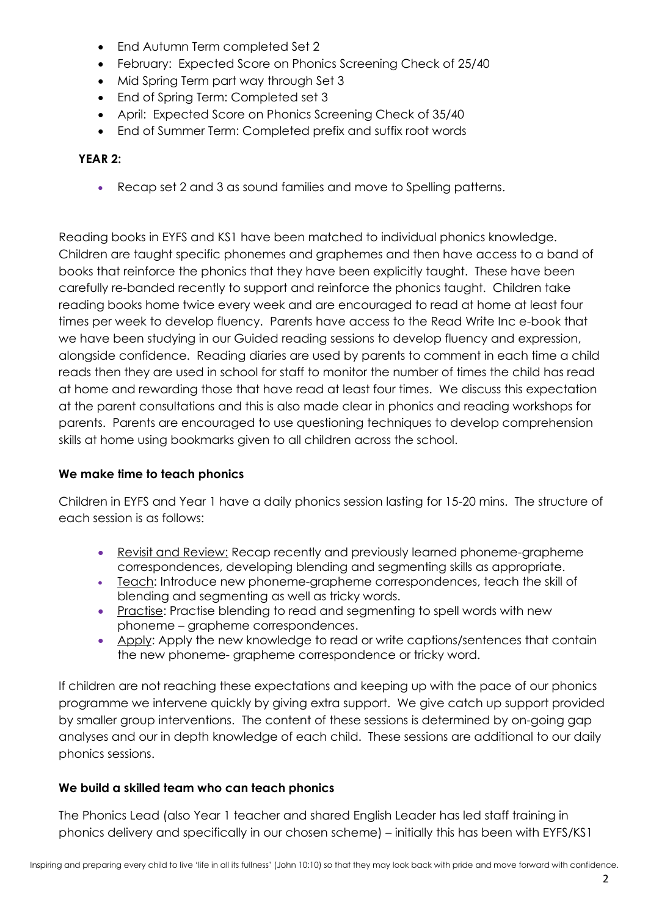- End Autumn Term completed Set 2
- February: Expected Score on Phonics Screening Check of 25/40
- Mid Spring Term part way through Set 3
- End of Spring Term: Completed set 3
- April: Expected Score on Phonics Screening Check of 35/40
- End of Summer Term: Completed prefix and suffix root words

### **YEAR 2:**

• Recap set 2 and 3 as sound families and move to Spelling patterns.

Reading books in EYFS and KS1 have been matched to individual phonics knowledge. Children are taught specific phonemes and graphemes and then have access to a band of books that reinforce the phonics that they have been explicitly taught. These have been carefully re-banded recently to support and reinforce the phonics taught. Children take reading books home twice every week and are encouraged to read at home at least four times per week to develop fluency. Parents have access to the Read Write Inc e-book that we have been studying in our Guided reading sessions to develop fluency and expression, alongside confidence. Reading diaries are used by parents to comment in each time a child reads then they are used in school for staff to monitor the number of times the child has read at home and rewarding those that have read at least four times. We discuss this expectation at the parent consultations and this is also made clear in phonics and reading workshops for parents. Parents are encouraged to use questioning techniques to develop comprehension skills at home using bookmarks given to all children across the school.

### **We make time to teach phonics**

Children in EYFS and Year 1 have a daily phonics session lasting for 15-20 mins. The structure of each session is as follows:

- Revisit and Review: Recap recently and previously learned phoneme-grapheme correspondences, developing blending and segmenting skills as appropriate.
- Teach: Introduce new phoneme-grapheme correspondences, teach the skill of blending and segmenting as well as tricky words.
- Practise: Practise blending to read and segmenting to spell words with new phoneme – grapheme correspondences.
- Apply: Apply the new knowledge to read or write captions/sentences that contain the new phoneme- grapheme correspondence or tricky word.

If children are not reaching these expectations and keeping up with the pace of our phonics programme we intervene quickly by giving extra support. We give catch up support provided by smaller group interventions. The content of these sessions is determined by on-going gap analyses and our in depth knowledge of each child. These sessions are additional to our daily phonics sessions.

### **We build a skilled team who can teach phonics**

The Phonics Lead (also Year 1 teacher and shared English Leader has led staff training in phonics delivery and specifically in our chosen scheme) – initially this has been with EYFS/KS1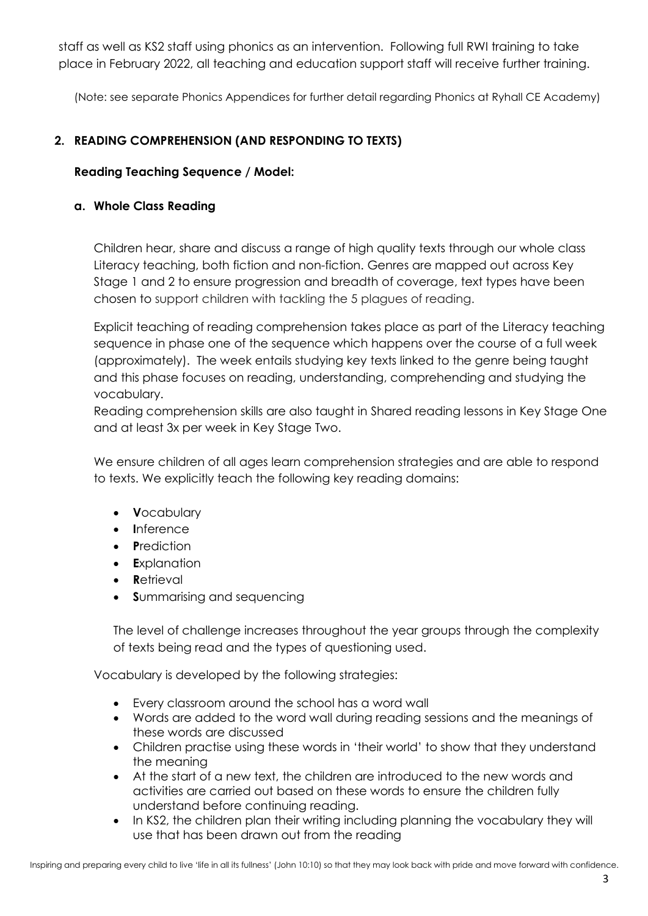staff as well as KS2 staff using phonics as an intervention. Following full RWI training to take place in February 2022, all teaching and education support staff will receive further training.

(Note: see separate Phonics Appendices for further detail regarding Phonics at Ryhall CE Academy)

### **2. READING COMPREHENSION (AND RESPONDING TO TEXTS)**

### **Reading Teaching Sequence / Model:**

#### **a. Whole Class Reading**

Children hear, share and discuss a range of high quality texts through our whole class Literacy teaching, both fiction and non-fiction. Genres are mapped out across Key Stage 1 and 2 to ensure progression and breadth of coverage, text types have been chosen to support children with tackling the 5 plagues of reading.

Explicit teaching of reading comprehension takes place as part of the Literacy teaching sequence in phase one of the sequence which happens over the course of a full week (approximately). The week entails studying key texts linked to the genre being taught and this phase focuses on reading, understanding, comprehending and studying the vocabulary.

Reading comprehension skills are also taught in Shared reading lessons in Key Stage One and at least 3x per week in Key Stage Two.

We ensure children of all ages learn comprehension strategies and are able to respond to texts. We explicitly teach the following key reading domains:

- **V**ocabulary
- **I**nference
- **P**rediction
- **E**xplanation
- **R**etrieval
- **S**ummarising and sequencing

The level of challenge increases throughout the year groups through the complexity of texts being read and the types of questioning used.

Vocabulary is developed by the following strategies:

- Every classroom around the school has a word wall
- Words are added to the word wall during reading sessions and the meanings of these words are discussed
- Children practise using these words in 'their world' to show that they understand the meaning
- At the start of a new text, the children are introduced to the new words and activities are carried out based on these words to ensure the children fully understand before continuing reading.
- In KS2, the children plan their writing including planning the vocabulary they will use that has been drawn out from the reading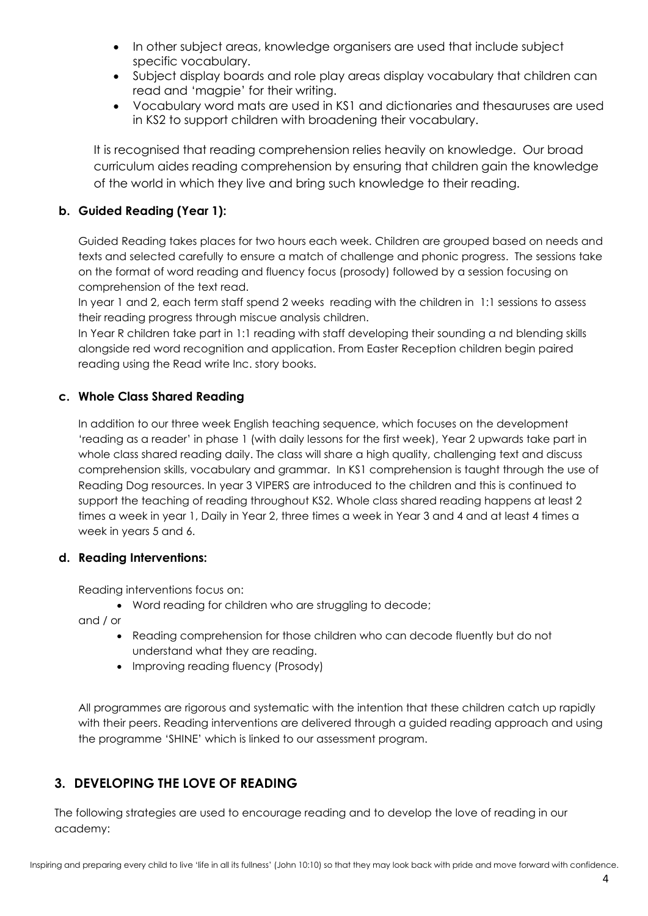- In other subject areas, knowledge organisers are used that include subject specific vocabulary.
- Subject display boards and role play areas display vocabulary that children can read and 'magpie' for their writing.
- Vocabulary word mats are used in KS1 and dictionaries and thesauruses are used in KS2 to support children with broadening their vocabulary.

It is recognised that reading comprehension relies heavily on knowledge. Our broad curriculum aides reading comprehension by ensuring that children gain the knowledge of the world in which they live and bring such knowledge to their reading.

### **b. Guided Reading (Year 1):**

Guided Reading takes places for two hours each week. Children are grouped based on needs and texts and selected carefully to ensure a match of challenge and phonic progress. The sessions take on the format of word reading and fluency focus (prosody) followed by a session focusing on comprehension of the text read.

In year 1 and 2, each term staff spend 2 weeks reading with the children in 1:1 sessions to assess their reading progress through miscue analysis children.

In Year R children take part in 1:1 reading with staff developing their sounding a nd blending skills alongside red word recognition and application. From Easter Reception children begin paired reading using the Read write Inc. story books.

#### **c. Whole Class Shared Reading**

In addition to our three week English teaching sequence, which focuses on the development 'reading as a reader' in phase 1 (with daily lessons for the first week), Year 2 upwards take part in whole class shared reading daily. The class will share a high quality, challenging text and discuss comprehension skills, vocabulary and grammar. In KS1 comprehension is taught through the use of Reading Dog resources. In year 3 VIPERS are introduced to the children and this is continued to support the teaching of reading throughout KS2. Whole class shared reading happens at least 2 times a week in year 1, Daily in Year 2, three times a week in Year 3 and 4 and at least 4 times a week in years 5 and 6.

#### **d. Reading Interventions:**

Reading interventions focus on:

• Word reading for children who are struggling to decode;

and / or

- Reading comprehension for those children who can decode fluently but do not understand what they are reading.
- Improving reading fluency (Prosody)

All programmes are rigorous and systematic with the intention that these children catch up rapidly with their peers. Reading interventions are delivered through a guided reading approach and using the programme 'SHINE' which is linked to our assessment program.

### **3. DEVELOPING THE LOVE OF READING**

The following strategies are used to encourage reading and to develop the love of reading in our academy: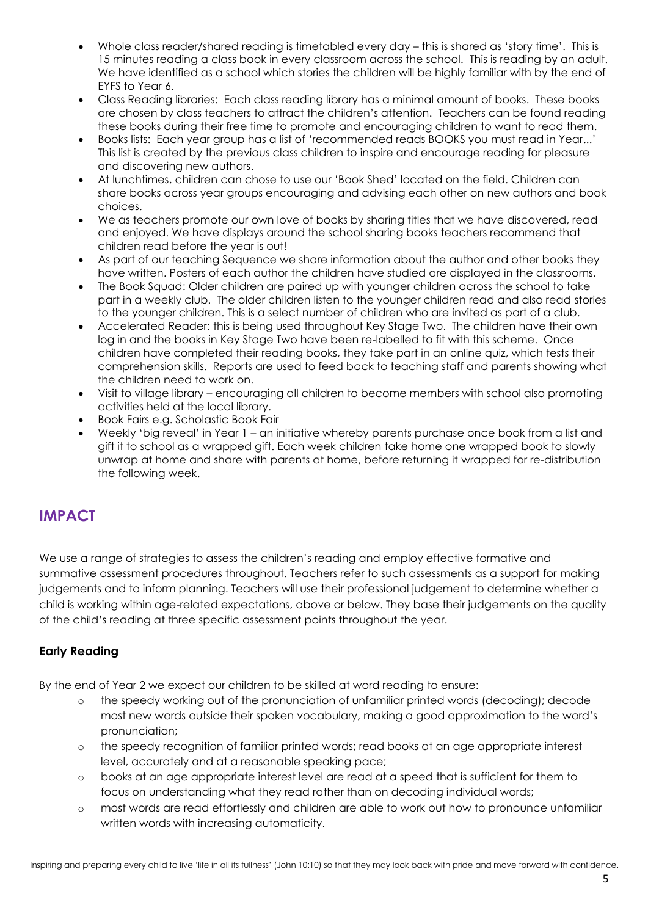- Whole class reader/shared reading is timetabled every day this is shared as 'story time'. This is 15 minutes reading a class book in every classroom across the school. This is reading by an adult. We have identified as a school which stories the children will be highly familiar with by the end of EYFS to Year 6.
- Class Reading libraries: Each class reading library has a minimal amount of books. These books are chosen by class teachers to attract the children's attention. Teachers can be found reading these books during their free time to promote and encouraging children to want to read them.
- Books lists: Each year group has a list of 'recommended reads BOOKS you must read in Year...' This list is created by the previous class children to inspire and encourage reading for pleasure and discovering new authors.
- At lunchtimes, children can chose to use our 'Book Shed' located on the field. Children can share books across year groups encouraging and advising each other on new authors and book choices.
- We as teachers promote our own love of books by sharing titles that we have discovered, read and enjoyed. We have displays around the school sharing books teachers recommend that children read before the year is out!
- As part of our teaching Sequence we share information about the author and other books they have written. Posters of each author the children have studied are displayed in the classrooms.
- The Book Squad: Older children are paired up with younger children across the school to take part in a weekly club. The older children listen to the younger children read and also read stories to the younger children. This is a select number of children who are invited as part of a club.
- Accelerated Reader: this is being used throughout Key Stage Two. The children have their own log in and the books in Key Stage Two have been re-labelled to fit with this scheme. Once children have completed their reading books, they take part in an online quiz, which tests their comprehension skills. Reports are used to feed back to teaching staff and parents showing what the children need to work on.
- Visit to village library encouraging all children to become members with school also promoting activities held at the local library.
- Book Fairs e.g. Scholastic Book Fair
- Weekly 'big reveal' in Year 1 an initiative whereby parents purchase once book from a list and gift it to school as a wrapped gift. Each week children take home one wrapped book to slowly unwrap at home and share with parents at home, before returning it wrapped for re-distribution the following week.

## **IMPACT**

We use a range of strategies to assess the children's reading and employ effective formative and summative assessment procedures throughout. Teachers refer to such assessments as a support for making judgements and to inform planning. Teachers will use their professional judgement to determine whether a child is working within age-related expectations, above or below. They base their judgements on the quality of the child's reading at three specific assessment points throughout the year.

### **Early Reading**

By the end of Year 2 we expect our children to be skilled at word reading to ensure:

- o the speedy working out of the pronunciation of unfamiliar printed words (decoding); decode most new words outside their spoken vocabulary, making a good approximation to the word's pronunciation;
- o the speedy recognition of familiar printed words; read books at an age appropriate interest level, accurately and at a reasonable speaking pace;
- o books at an age appropriate interest level are read at a speed that is sufficient for them to focus on understanding what they read rather than on decoding individual words;
- o most words are read effortlessly and children are able to work out how to pronounce unfamiliar written words with increasing automaticity.